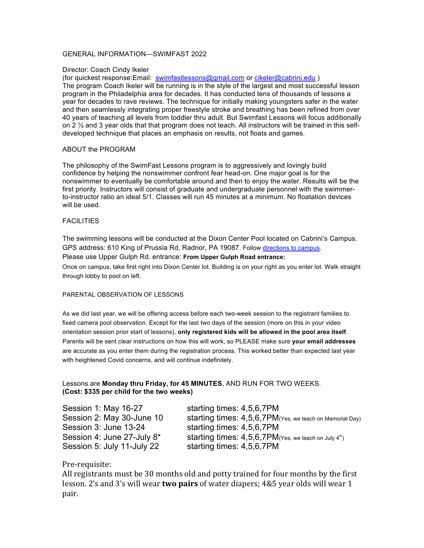## GENERAL INFORMATION—SWIMFAST 2022

### Director: Coach Cindy Ikeler

(for quickest response:Email: swimfastlessons@gmail.com or cikeler@cabrini.edu )

The program Coach Ikeler will be running is in the style of the largest and most successful lesson program in the Philadelphia area for decades. It has conducted tens of thousands of lessons a year for decades to rave reviews. The technique for initially making youngsters safer in the water and then seamlessly integrating proper freestyle stroke and breathing has been refined from over 40 years of teaching all levels from toddler thru adult. But Swimfast Lessons will focus additionally on 2  $\frac{1}{2}$  and 3 year olds that that program does not teach. All instructors will be trained in this selfdeveloped technique that places an emphasis on results, not floats and games.

## ABOUT the PROGRAM

The philosophy of the SwimFast Lessons program is to aggressively and lovingly build confidence by helping the nonswimmer confront fear head-on. One major goal is for the nonswimmer to eventually be comfortable around and then to enjoy the water. Results will be the first priority. Instructors will consist of graduate and undergraduate personnel with the swimmerto-instructor ratio an ideal 5/1. Classes will run 45 minutes at a minimum. No floatation devices will be used.

## **FACILITIES**

The swimming lessons will be conducted at the Dixon Center Pool located on Cabrini's Campus. GPS address: 610 King of Prussia Rd, Radnor, PA 19087. Follow directions to campus. Please use Upper Gulph Rd. entrance: **From Upper Gulph Road entrance:** Once on campus, take first right into Dixon Center lot. Building is on your right as you enter lot. Walk straight through lobby to pool on left.

#### PARENTAL OBSERVATION OF LESSONS

As we did last year, we will be offering access before each two-week session to the registrant families to fixed camera pool observation. Except for the last two days of the session (more on this in your video orientation session prior start of lessons), **only registered kids will be allowed in the pool area itself**. Parents will be sent clear instructions on how this will work, so PLEASE make sure **your email addresses** are accurate as you enter them during the registration process. This worked better than expected last year with heightened Covid concerns, and will continue indefinitely.

## Lessons are **Monday thru Friday, for 45 MINUTES**, AND RUN FOR TWO WEEKS. **(Cost: \$335 per child for the two weeks)**

Session 1: May 16-27 starting times: 4,5,6,7PM Session 3: June 13-24 starting times: 4,5,6,7PM Session 5: July 11-July 22 starting times: 4,5,6,7PM

Session 2: May 30-June 10 starting times: 4,5,6,7PM(Yes, we teach on Memorial Day) Session 4: June 27-July  $8^*$  starting times:  $4,5,6,7$ PM(Yes, we teach on July 4th)

# Pre-requisite:

All registrants must be 30 months old and potty trained for four months by the first lesson. 2's and 3's will wear **two pairs** of water diapers; 4&5 year olds will wear 1 pair.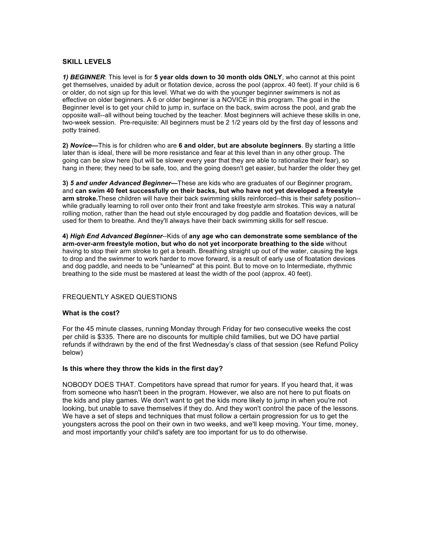## **SKILL LEVELS**

*1) BEGINNER*: This level is for **5 year olds down to 30 month olds ONLY**, who cannot at this point get themselves, unaided by adult or flotation device, across the pool (approx. 40 feet). If your child is 6 or older, do not sign up for this level. What we do with the younger beginner swimmers is not as effective on older beginners. A 6 or older beginner is a NOVICE in this program. The goal in the Beginner level is to get your child to jump in, surface on the back, swim across the pool, and grab the opposite wall--all without being touched by the teacher. Most beginners will achieve these skills in one, two-week session. Pre-requisite: All beginners must be 2 1/2 years old by the first day of lessons and potty trained.

**2)** *Novice***—**This is for children who are **6 and older, but are absolute beginners**. By starting a little later than is ideal, there will be more resistance and fear at this level than in any other group. The going can be slow here (but will be slower every year that they are able to rationalize their fear), so hang in there; they need to be safe, too, and the going doesn't get easier, but harder the older they get

**3)** *5 and under Advanced Beginner***—**These are kids who are graduates of our Beginner program, and **can swim 40 feet successfully on their backs, but who have not yet developed a freestyle arm stroke.**These children will have their back swimming skills reinforced--this is their safety position- while gradually learning to roll over onto their front and take freestyle arm strokes. This way a natural rolling motion, rather than the head out style encouraged by dog paddle and floatation devices, will be used for them to breathe. And they'll always have their back swimming skills for self rescue.

**4)** *High End Advanced Beginner*--Kids of **any age who can demonstrate some semblance of the arm-over-arm freestyle motion, but who do not yet incorporate breathing to the side** without having to stop their arm stroke to get a breath. Breathing straight up out of the water, causing the legs to drop and the swimmer to work harder to move forward, is a result of early use of floatation devices and dog paddle, and needs to be "unlearned" at this point. But to move on to Intermediate, rhythmic breathing to the side must be mastered at least the width of the pool (approx. 40 feet).

## FREQUENTLY ASKED QUESTIONS

#### **What is the cost?**

For the 45 minute classes, running Monday through Friday for two consecutive weeks the cost per child is \$335. There are no discounts for multiple child families, but we DO have partial refunds if withdrawn by the end of the first Wednesday's class of that session (see Refund Policy below)

#### **Is this where they throw the kids in the first day?**

NOBODY DOES THAT. Competitors have spread that rumor for years. If you heard that, it was from someone who hasn't been in the program. However, we also are not here to put floats on the kids and play games. We don't want to get the kids more likely to jump in when you're not looking, but unable to save themselves if they do. And they won't control the pace of the lessons. We have a set of steps and techniques that must follow a certain progression for us to get the youngsters across the pool on their own in two weeks, and we'll keep moving. Your time, money, and most importantly your child's safety are too important for us to do otherwise.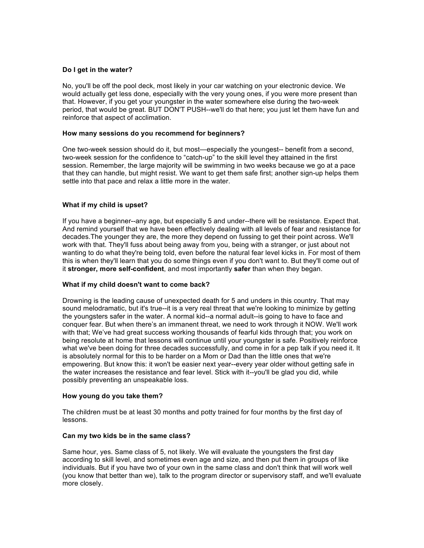## **Do I get in the water?**

No, you'll be off the pool deck, most likely in your car watching on your electronic device. We would actually get less done, especially with the very young ones, if you were more present than that. However, if you get your youngster in the water somewhere else during the two-week period, that would be great. BUT DON'T PUSH--we'll do that here; you just let them have fun and reinforce that aspect of acclimation.

### **How many sessions do you recommend for beginners?**

One two-week session should do it, but most—especially the youngest-- benefit from a second, two-week session for the confidence to "catch-up" to the skill level they attained in the first session. Remember, the large majority will be swimming in two weeks because we go at a pace that they can handle, but might resist. We want to get them safe first; another sign-up helps them settle into that pace and relax a little more in the water.

## **What if my child is upset?**

If you have a beginner--any age, but especially 5 and under--there will be resistance. Expect that. And remind yourself that we have been effectively dealing with all levels of fear and resistance for decades.The younger they are, the more they depend on fussing to get their point across. We'll work with that. They'll fuss about being away from you, being with a stranger, or just about not wanting to do what they're being told, even before the natural fear level kicks in. For most of them this is when they'll learn that you do some things even if you don't want to. But they'll come out of it **stronger, more self-confident**, and most importantly **safer** than when they began.

#### **What if my child doesn't want to come back?**

Drowning is the leading cause of unexpected death for 5 and unders in this country. That may sound melodramatic, but it's true--it is a very real threat that we're looking to minimize by getting the youngsters safer in the water. A normal kid--a normal adult--is going to have to face and conquer fear. But when there's an immanent threat, we need to work through it NOW. We'll work with that; We've had great success working thousands of fearful kids through that; you work on being resolute at home that lessons will continue until your youngster is safe. Positively reinforce what we've been doing for three decades successfully, and come in for a pep talk if you need it. It is absolutely normal for this to be harder on a Mom or Dad than the little ones that we're empowering. But know this: it won't be easier next year--every year older without getting safe in the water increases the resistance and fear level. Stick with it--you'll be glad you did, while possibly preventing an unspeakable loss.

#### **How young do you take them?**

The children must be at least 30 months and potty trained for four months by the first day of lessons.

#### **Can my two kids be in the same class?**

Same hour, yes. Same class of 5, not likely. We will evaluate the youngsters the first day according to skill level, and sometimes even age and size, and then put them in groups of like individuals. But if you have two of your own in the same class and don't think that will work well (you know that better than we), talk to the program director or supervisory staff, and we'll evaluate more closely.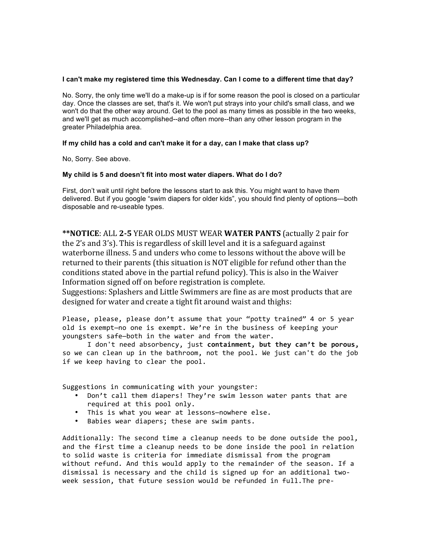### **I can't make my registered time this Wednesday. Can I come to a different time that day?**

No. Sorry, the only time we'll do a make-up is if for some reason the pool is closed on a particular day. Once the classes are set, that's it. We won't put strays into your child's small class, and we won't do that the other way around. Get to the pool as many times as possible in the two weeks, and we'll get as much accomplished--and often more--than any other lesson program in the greater Philadelphia area.

## **If my child has a cold and can't make it for a day, can I make that class up?**

No, Sorry. See above.

### **My child is 5 and doesn't fit into most water diapers. What do I do?**

First, don't wait until right before the lessons start to ask this. You might want to have them delivered. But if you google "swim diapers for older kids", you should find plenty of options—both disposable and re-useable types.

**\*\*NOTICE**: ALL **2-5** YEAR OLDS MUST WEAR **WATER PANTS** (actually 2 pair for the 2's and 3's). This is regardless of skill level and it is a safeguard against waterborne illness. 5 and unders who come to lessons without the above will be returned to their parents (this situation is NOT eligible for refund other than the conditions stated above in the partial refund policy). This is also in the Waiver Information signed off on before registration is complete.

Suggestions: Splashers and Little Swimmers are fine as are most products that are designed for water and create a tight fit around waist and thighs:

Please, please, please don't assume that your "potty trained" 4 or 5 year old is exempt-no one is exempt. We're in the business of keeping your youngsters safe-both in the water and from the water.

I don't need absorbency, just containment, but they can't be porous, so we can clean up in the bathroom, not the pool. We just can't do the job if we keep having to clear the pool.

Suggestions in communicating with your youngster:

- Don't call them diapers! They're swim lesson water pants that are required at this pool only.
- This is what you wear at lessons-nowhere else.
- Babies wear diapers; these are swim pants.

Additionally: The second time a cleanup needs to be done outside the pool, and the first time a cleanup needs to be done inside the pool in relation to solid waste is criteria for immediate dismissal from the program without refund. And this would apply to the remainder of the season. If a dismissal is necessary and the child is signed up for an additional twoweek session, that future session would be refunded in full. The pre